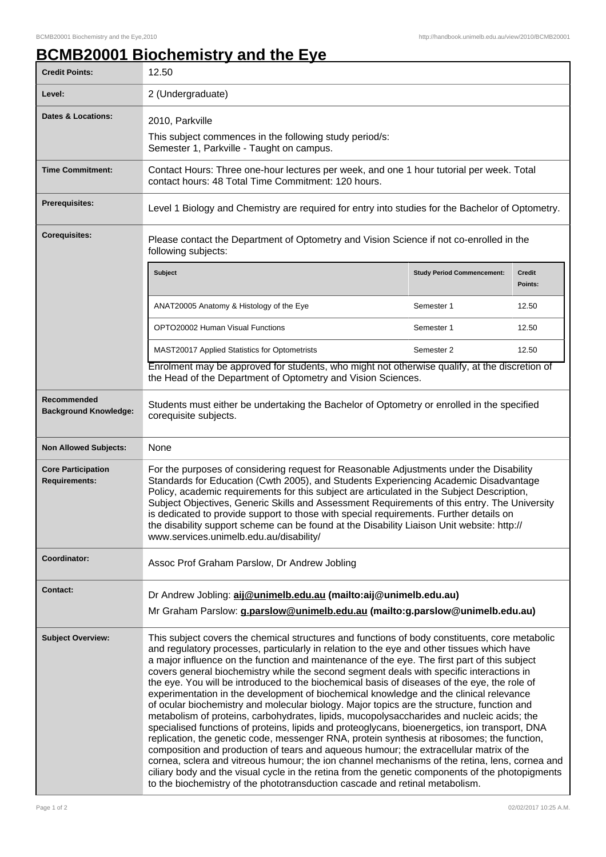## **BCMB20001 Biochemistry and the Eye**

| <b>Credit Points:</b>                             | 12.50                                                                                                                                                                                                                                                                                                                                                                                                                                                                                                                                                                                                                                                                                                                                                                                                                                                                                                                                                                                                                                                                                                                                                                                                                                                                                                                                                           |  |                   |  |
|---------------------------------------------------|-----------------------------------------------------------------------------------------------------------------------------------------------------------------------------------------------------------------------------------------------------------------------------------------------------------------------------------------------------------------------------------------------------------------------------------------------------------------------------------------------------------------------------------------------------------------------------------------------------------------------------------------------------------------------------------------------------------------------------------------------------------------------------------------------------------------------------------------------------------------------------------------------------------------------------------------------------------------------------------------------------------------------------------------------------------------------------------------------------------------------------------------------------------------------------------------------------------------------------------------------------------------------------------------------------------------------------------------------------------------|--|-------------------|--|
| Level:                                            | 2 (Undergraduate)                                                                                                                                                                                                                                                                                                                                                                                                                                                                                                                                                                                                                                                                                                                                                                                                                                                                                                                                                                                                                                                                                                                                                                                                                                                                                                                                               |  |                   |  |
| <b>Dates &amp; Locations:</b>                     | 2010, Parkville                                                                                                                                                                                                                                                                                                                                                                                                                                                                                                                                                                                                                                                                                                                                                                                                                                                                                                                                                                                                                                                                                                                                                                                                                                                                                                                                                 |  |                   |  |
|                                                   | This subject commences in the following study period/s:<br>Semester 1, Parkville - Taught on campus.                                                                                                                                                                                                                                                                                                                                                                                                                                                                                                                                                                                                                                                                                                                                                                                                                                                                                                                                                                                                                                                                                                                                                                                                                                                            |  |                   |  |
| <b>Time Commitment:</b>                           | Contact Hours: Three one-hour lectures per week, and one 1 hour tutorial per week. Total<br>contact hours: 48 Total Time Commitment: 120 hours.                                                                                                                                                                                                                                                                                                                                                                                                                                                                                                                                                                                                                                                                                                                                                                                                                                                                                                                                                                                                                                                                                                                                                                                                                 |  |                   |  |
| Prerequisites:                                    | Level 1 Biology and Chemistry are required for entry into studies for the Bachelor of Optometry.                                                                                                                                                                                                                                                                                                                                                                                                                                                                                                                                                                                                                                                                                                                                                                                                                                                                                                                                                                                                                                                                                                                                                                                                                                                                |  |                   |  |
| <b>Corequisites:</b>                              | Please contact the Department of Optometry and Vision Science if not co-enrolled in the<br>following subjects:                                                                                                                                                                                                                                                                                                                                                                                                                                                                                                                                                                                                                                                                                                                                                                                                                                                                                                                                                                                                                                                                                                                                                                                                                                                  |  |                   |  |
|                                                   | Subject<br><b>Study Period Commencement:</b>                                                                                                                                                                                                                                                                                                                                                                                                                                                                                                                                                                                                                                                                                                                                                                                                                                                                                                                                                                                                                                                                                                                                                                                                                                                                                                                    |  | Credit<br>Points: |  |
|                                                   | ANAT20005 Anatomy & Histology of the Eye<br>Semester 1                                                                                                                                                                                                                                                                                                                                                                                                                                                                                                                                                                                                                                                                                                                                                                                                                                                                                                                                                                                                                                                                                                                                                                                                                                                                                                          |  | 12.50             |  |
|                                                   | OPTO20002 Human Visual Functions<br>Semester 1                                                                                                                                                                                                                                                                                                                                                                                                                                                                                                                                                                                                                                                                                                                                                                                                                                                                                                                                                                                                                                                                                                                                                                                                                                                                                                                  |  | 12.50             |  |
|                                                   | MAST20017 Applied Statistics for Optometrists<br>Semester 2                                                                                                                                                                                                                                                                                                                                                                                                                                                                                                                                                                                                                                                                                                                                                                                                                                                                                                                                                                                                                                                                                                                                                                                                                                                                                                     |  | 12.50             |  |
|                                                   | Enrolment may be approved for students, who might not otherwise qualify, at the discretion of<br>the Head of the Department of Optometry and Vision Sciences.                                                                                                                                                                                                                                                                                                                                                                                                                                                                                                                                                                                                                                                                                                                                                                                                                                                                                                                                                                                                                                                                                                                                                                                                   |  |                   |  |
| Recommended<br><b>Background Knowledge:</b>       | Students must either be undertaking the Bachelor of Optometry or enrolled in the specified<br>corequisite subjects.                                                                                                                                                                                                                                                                                                                                                                                                                                                                                                                                                                                                                                                                                                                                                                                                                                                                                                                                                                                                                                                                                                                                                                                                                                             |  |                   |  |
| <b>Non Allowed Subjects:</b>                      | None                                                                                                                                                                                                                                                                                                                                                                                                                                                                                                                                                                                                                                                                                                                                                                                                                                                                                                                                                                                                                                                                                                                                                                                                                                                                                                                                                            |  |                   |  |
| <b>Core Participation</b><br><b>Requirements:</b> | For the purposes of considering request for Reasonable Adjustments under the Disability<br>Standards for Education (Cwth 2005), and Students Experiencing Academic Disadvantage<br>Policy, academic requirements for this subject are articulated in the Subject Description,<br>Subject Objectives, Generic Skills and Assessment Requirements of this entry. The University<br>is dedicated to provide support to those with special requirements. Further details on<br>the disability support scheme can be found at the Disability Liaison Unit website: http://<br>www.services.unimelb.edu.au/disability/                                                                                                                                                                                                                                                                                                                                                                                                                                                                                                                                                                                                                                                                                                                                                |  |                   |  |
| Coordinator:                                      | Assoc Prof Graham Parslow, Dr Andrew Jobling                                                                                                                                                                                                                                                                                                                                                                                                                                                                                                                                                                                                                                                                                                                                                                                                                                                                                                                                                                                                                                                                                                                                                                                                                                                                                                                    |  |                   |  |
| <b>Contact:</b>                                   | Dr Andrew Jobling: aij@unimelb.edu.au (mailto:aij@unimelb.edu.au)<br>Mr Graham Parslow: g.parslow@unimelb.edu.au (mailto:g.parslow@unimelb.edu.au)                                                                                                                                                                                                                                                                                                                                                                                                                                                                                                                                                                                                                                                                                                                                                                                                                                                                                                                                                                                                                                                                                                                                                                                                              |  |                   |  |
| <b>Subject Overview:</b>                          | This subject covers the chemical structures and functions of body constituents, core metabolic<br>and regulatory processes, particularly in relation to the eye and other tissues which have<br>a major influence on the function and maintenance of the eye. The first part of this subject<br>covers general biochemistry while the second segment deals with specific interactions in<br>the eye. You will be introduced to the biochemical basis of diseases of the eye, the role of<br>experimentation in the development of biochemical knowledge and the clinical relevance<br>of ocular biochemistry and molecular biology. Major topics are the structure, function and<br>metabolism of proteins, carbohydrates, lipids, mucopolysaccharides and nucleic acids; the<br>specialised functions of proteins, lipids and proteoglycans, bioenergetics, ion transport, DNA<br>replication, the genetic code, messenger RNA, protein synthesis at ribosomes; the function,<br>composition and production of tears and aqueous humour; the extracellular matrix of the<br>cornea, sclera and vitreous humour; the ion channel mechanisms of the retina, lens, cornea and<br>ciliary body and the visual cycle in the retina from the genetic components of the photopigments<br>to the biochemistry of the phototransduction cascade and retinal metabolism. |  |                   |  |